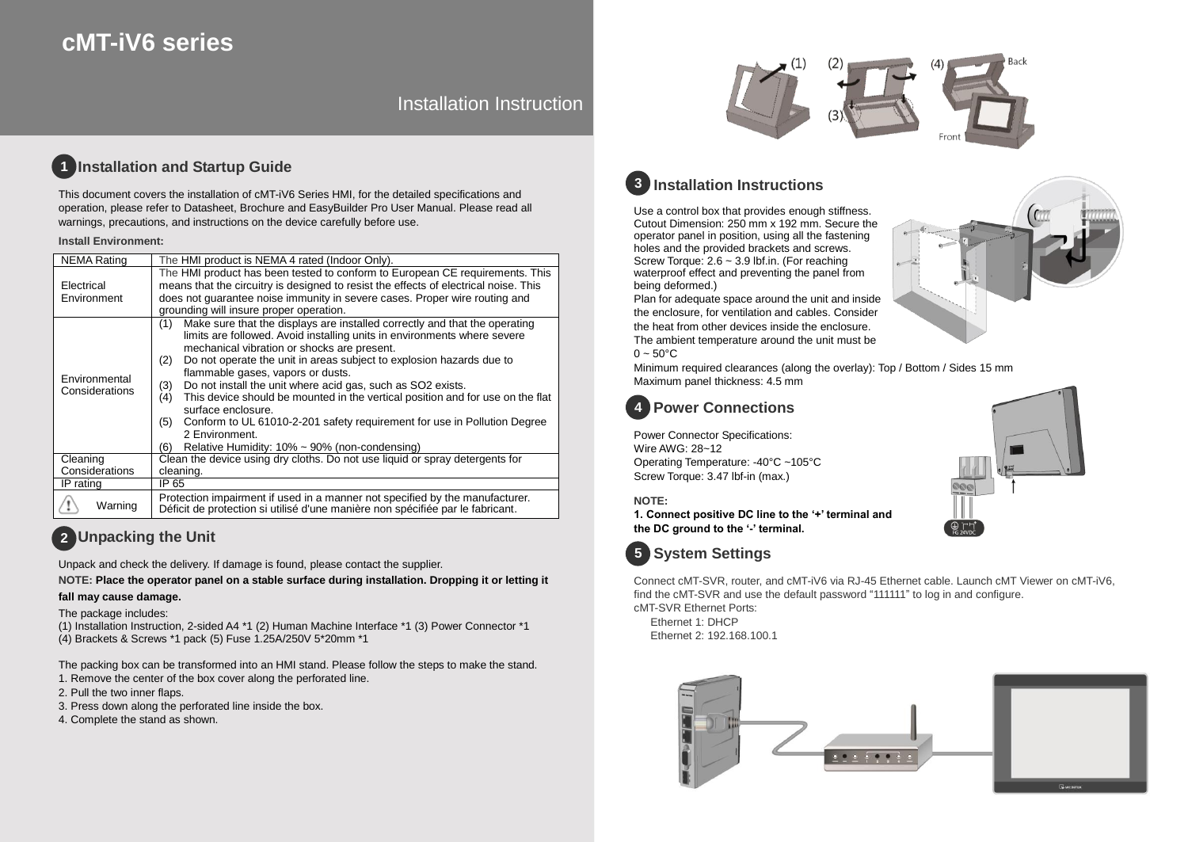# **cMT-iV6 series**

Installation Instruction

#### **Installation and Startup Guide 1**

This document covers the installation of cMT-iV6 Series HMI, for the detailed specifications and operation, please refer to Datasheet, Brochure and EasyBuilder Pro User Manual. Please read all warnings, precautions, and instructions on the device carefully before use.

### **Install Environment:**

| <b>NEMA Rating</b>              | The HMI product is NEMA 4 rated (Indoor Only).                                                                                                                                                                                                                                                                                                                                                                                                                                                                                                                                                                                                                                            |  |  |  |
|---------------------------------|-------------------------------------------------------------------------------------------------------------------------------------------------------------------------------------------------------------------------------------------------------------------------------------------------------------------------------------------------------------------------------------------------------------------------------------------------------------------------------------------------------------------------------------------------------------------------------------------------------------------------------------------------------------------------------------------|--|--|--|
| Electrical<br>Environment       | The HMI product has been tested to conform to European CE requirements. This<br>means that the circuitry is designed to resist the effects of electrical noise. This<br>does not quarantee noise immunity in severe cases. Proper wire routing and<br>grounding will insure proper operation.                                                                                                                                                                                                                                                                                                                                                                                             |  |  |  |
| Environmental<br>Considerations | Make sure that the displays are installed correctly and that the operating<br>(1)<br>limits are followed. Avoid installing units in environments where severe<br>mechanical vibration or shocks are present.<br>Do not operate the unit in areas subject to explosion hazards due to<br>(2)<br>flammable gases, vapors or dusts.<br>Do not install the unit where acid gas, such as SO2 exists.<br>(3)<br>This device should be mounted in the vertical position and for use on the flat<br>(4)<br>surface enclosure.<br>Conform to UL 61010-2-201 safety requirement for use in Pollution Degree<br>(5)<br>2 Environment.<br>Relative Humidity: $10\% \sim 90\%$ (non-condensing)<br>(6) |  |  |  |
| Cleaning                        | Clean the device using dry cloths. Do not use liquid or spray detergents for                                                                                                                                                                                                                                                                                                                                                                                                                                                                                                                                                                                                              |  |  |  |
| Considerations                  | cleaning.                                                                                                                                                                                                                                                                                                                                                                                                                                                                                                                                                                                                                                                                                 |  |  |  |
| IP rating                       | IP 65                                                                                                                                                                                                                                                                                                                                                                                                                                                                                                                                                                                                                                                                                     |  |  |  |
| Warning                         | Protection impairment if used in a manner not specified by the manufacturer.<br>Déficit de protection si utilisé d'une manière non spécifiée par le fabricant.                                                                                                                                                                                                                                                                                                                                                                                                                                                                                                                            |  |  |  |

## **Unpacking the Unit 2**

Unpack and check the delivery. If damage is found, please contact the supplier.

**NOTE: Place the operator panel on a stable surface during installation. Dropping it or letting it** 

## **fall may cause damage.**

The package includes:

(1) Installation Instruction, 2-sided A4 \*1 (2) Human Machine Interface \*1 (3) Power Connector \*1 (4) Brackets & Screws \*1 pack (5) Fuse 1.25A/250V 5\*20mm \*1

The packing box can be transformed into an HMI stand. Please follow the steps to make the stand.

- 1. Remove the center of the box cover along the perforated line.
- 2. Pull the two inner flaps.
- 3. Press down along the perforated line inside the box.
- 4. Complete the stand as shown.



# **Installation Instructions 3**

Use a control box that provides enough stiffness. Cutout Dimension: 250 mm x 192 mm. Secure the operator panel in position, using all the fastening holes and the provided brackets and screws. Screw Torque: 2.6 ~ 3.9 lbf.in. (For reaching waterproof effect and preventing the panel from being deformed.)

Plan for adequate space around the unit and inside the enclosure, for ventilation and cables. Consider the heat from other devices inside the enclosure. The ambient temperature around the unit must be  $0 \sim 50^{\circ}$ C

Minimum required clearances (along the overlay): Top / Bottom / Sides 15 mm Maximum panel thickness: 4.5 mm



Power Connector Specifications: Wire AWG: 28~12 Operating Temperature: -40°C ~105°C Screw Torque: 3.47 lbf-in (max.)

### **NOTE:**

**1. Connect positive DC line to the '+' terminal and the DC ground to the '-' terminal.**



Connect cMT-SVR, router, and cMT-iV6 via RJ-45 Ethernet cable. Launch cMT Viewer on cMT-iV6, find the cMT-SVR and use the default password "111111" to log in and configure. cMT-SVR Ethernet Ports:

Ethernet 1: DHCP Ethernet 2: 192.168.100.1